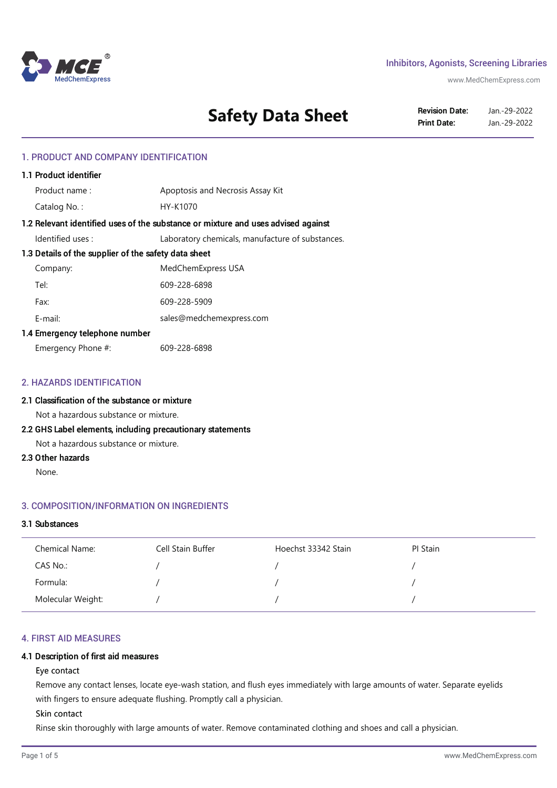

### Inhibitors, Agonists, Screening Libraries

www.MedChemExpress.com

# **Safety Data Sheet** Revision Date: Jan.-29-2022

Jan.-29-2022

### 1. PRODUCT AND COMPANY IDENTIFICATION

| 1.1 Product identifier                                                            |                                                  |  |
|-----------------------------------------------------------------------------------|--------------------------------------------------|--|
| Product name:                                                                     | Apoptosis and Necrosis Assay Kit                 |  |
| Catalog No.:                                                                      | HY-K1070                                         |  |
| 1.2 Relevant identified uses of the substance or mixture and uses advised against |                                                  |  |
| ldentified uses :                                                                 | Laboratory chemicals, manufacture of substances. |  |
| 1.3 Details of the supplier of the safety data sheet                              |                                                  |  |
| Company:                                                                          | MedChemExpress USA                               |  |
| Tel:                                                                              | 609-228-6898                                     |  |
| Fax:                                                                              | 609-228-5909                                     |  |
| F-mail:                                                                           | sales@medchemexpress.com                         |  |
| 1.4 Emergency telephone number                                                    |                                                  |  |
| Emergency Phone #:                                                                | 609-228-6898                                     |  |

### 2. HAZARDS IDENTIFICATION

### 2.1 Classification of the substance or mixture

Not a hazardous substance or mixture.

### 2.2 GHS Label elements, including precautionary statements

Not a hazardous substance or mixture.

### 2.3 Other hazards

None.

### 3. COMPOSITION/INFORMATION ON INGREDIENTS

### 3.1 Substances

| Chemical Name:    | Cell Stain Buffer | Hoechst 33342 Stain | PI Stain |
|-------------------|-------------------|---------------------|----------|
| CAS No.:          |                   |                     |          |
| Formula:          |                   |                     |          |
| Molecular Weight: |                   |                     |          |

#### 4. FIRST AID MEASURES

#### 4.1 Description of first aid measures

#### Eye contact

Remove any contact lenses, locate eye-wash station, and flush eyes immediately with large amounts of water. Separate eyelids with fingers to ensure adequate flushing. Promptly call a physician.

### Skin contact

Rinse skin thoroughly with large amounts of water. Remove contaminated clothing and shoes and call a physician.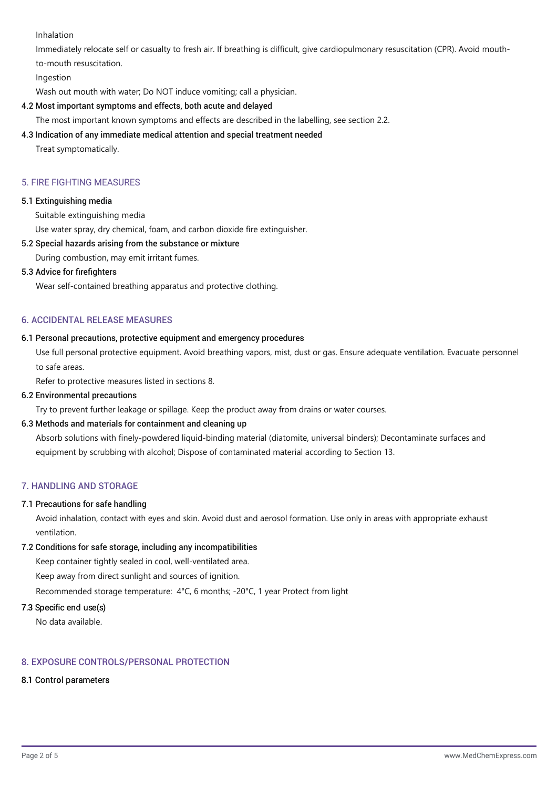Inhalation

Immediately relocate self or casualty to fresh air. If breathing is difficult, give cardiopulmonary resuscitation (CPR). Avoid mouthto-mouth resuscitation.

Ingestion

Wash out mouth with water; Do NOT induce vomiting; call a physician.

# 4.2 Most important symptoms and effects, both acute and delayed

The most important known symptoms and effects are described in the labelling, see section 2.2.

# 4.3 Indication of any immediate medical attention and special treatment needed

Treat symptomatically.

# 5. FIRE FIGHTING MEASURES

# 5.1 Extinguishing media

Suitable extinguishing media

Use water spray, dry chemical, foam, and carbon dioxide fire extinguisher.

# 5.2 Special hazards arising from the substance or mixture

During combustion, may emit irritant fumes.

# 5.3 Advice for firefighters

Wear self-contained breathing apparatus and protective clothing.

# 6. ACCIDENTAL RELEASE MEASURES

# 6.1 Personal precautions, protective equipment and emergency procedures

Use full personal protective equipment. Avoid breathing vapors, mist, dust or gas. Ensure adequate ventilation. Evacuate personnel to safe areas.

Refer to protective measures listed in sections 8.

# 6.2 Environmental precautions

Try to prevent further leakage or spillage. Keep the product away from drains or water courses.

# 6.3 Methods and materials for containment and cleaning up

Absorb solutions with finely-powdered liquid-binding material (diatomite, universal binders); Decontaminate surfaces and equipment by scrubbing with alcohol; Dispose of contaminated material according to Section 13.

# 7. HANDLING AND STORAGE

# 7.1 Precautions for safe handling

Avoid inhalation, contact with eyes and skin. Avoid dust and aerosol formation. Use only in areas with appropriate exhaust ventilation.

# 7.2 Conditions for safe storage, including any incompatibilities

Keep container tightly sealed in cool, well-ventilated area.

Keep away from direct sunlight and sources of ignition.

Recommended storage temperature: 4°C, 6 months; -20°C, 1 year Protect from light

# 7.3 Specific end use(s)

No data available.

# 8. EXPOSURE CONTROLS/PERSONAL PROTECTION

# 8.1 Control parameters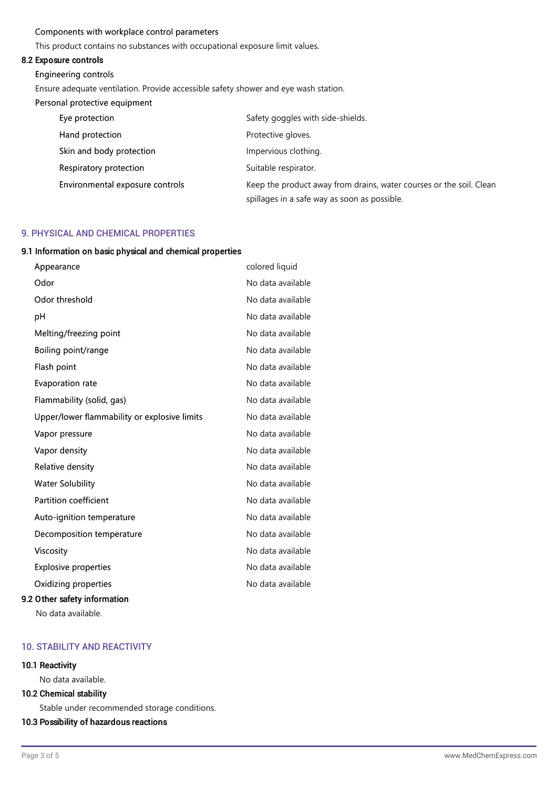### Components with workplace control parameters

This product contains no substances with occupational exposure limit values.

### 8.2 Exposure controls

#### Engineering controls

Ensure adequate ventilation. Provide accessible safety shower and eye wash station.

#### Personal protective equipment

| Eye protection                  | Safety goggles with side-shields.                                   |
|---------------------------------|---------------------------------------------------------------------|
| Hand protection                 | Protective gloves.                                                  |
| Skin and body protection        | Impervious clothing.                                                |
| Respiratory protection          | Suitable respirator.                                                |
| Environmental exposure controls | Keep the product away from drains, water courses or the soil. Clean |
|                                 | spillages in a safe way as soon as possible.                        |

### 9. PHYSICAL AND CHEMICAL PROPERTIES

#### 9.1 Information on basic physical and chemical properties

| Appearance                                   | colored liquid    |
|----------------------------------------------|-------------------|
| Odor                                         | No data available |
| Odor threshold                               | No data available |
| рH                                           | No data available |
| Melting/freezing point                       | No data available |
| Boiling point/range                          | No data available |
| Flash point                                  | No data available |
| Evaporation rate                             | No data available |
| Flammability (solid, gas)                    | No data available |
| Upper/lower flammability or explosive limits | No data available |
| Vapor pressure                               | No data available |
| Vapor density                                | No data available |
| Relative density                             | No data available |
| <b>Water Solubility</b>                      | No data available |
| <b>Partition coefficient</b>                 | No data available |
| Auto-ignition temperature                    | No data available |
| Decomposition temperature                    | No data available |
| Viscosity                                    | No data available |
| <b>Explosive properties</b>                  | No data available |
| Oxidizing properties                         | No data available |
| 9.2 Other safety information                 |                   |

No data available.

### 10. STABILITY AND REACTIVITY

### 10.1 Reactivity

No data available.

### 10.2 Chemical stability

Stable under recommended storage conditions.

### 10.3 Possibility of hazardous reactions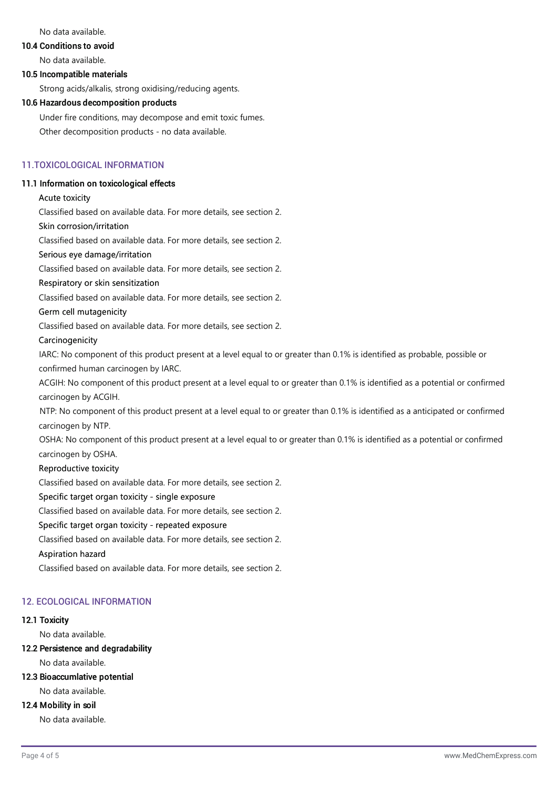No data available.

# 10.4 Conditions to avoid

No data available.

### 10.5 Incompatible materials

Strong acids/alkalis, strong oxidising/reducing agents.

### 10.6 Hazardous decomposition products

Under fire conditions, may decompose and emit toxic fumes. Other decomposition products - no data available.

### 11.TOXICOLOGICAL INFORMATION

### 11.1 Information on toxicological effects

### Acute toxicity

Classified based on available data. For more details, see section 2.

### Skin corrosion/irritation

Classified based on available data. For more details, see section 2.

### Serious eye damage/irritation

Classified based on available data. For more details, see section 2.

### Respiratory or skin sensitization

Classified based on available data. For more details, see section 2.

### Germ cell mutagenicity

Classified based on available data. For more details, see section 2.

### Carcinogenicity

IARC: No component of this product present at a level equal to or greater than 0.1% is identified as probable, possible or confirmed human carcinogen by IARC.

ACGIH: No component of this product present at a level equal to or greater than 0.1% is identified as a potential or confirmed carcinogen by ACGIH.

NTP: No component of this product present at a level equal to or greater than 0.1% is identified as a anticipated or confirmed carcinogen by NTP.

OSHA: No component of this product present at a level equal to or greater than 0.1% is identified as a potential or confirmed carcinogen by OSHA.

### Reproductive toxicity

Classified based on available data. For more details, see section 2.

### Specific target organ toxicity - single exposure

Classified based on available data. For more details, see section 2.

### Specific target organ toxicity - repeated exposure

Classified based on available data. For more details, see section 2.

### Aspiration hazard

Classified based on available data. For more details, see section 2.

### 12. ECOLOGICAL INFORMATION

### 12.1 Toxicity

No data available.

### 12.2 Persistence and degradability

No data available.

12.3 Bioaccumlative potential

No data available.

# 12.4 Mobility in soil

No data available.